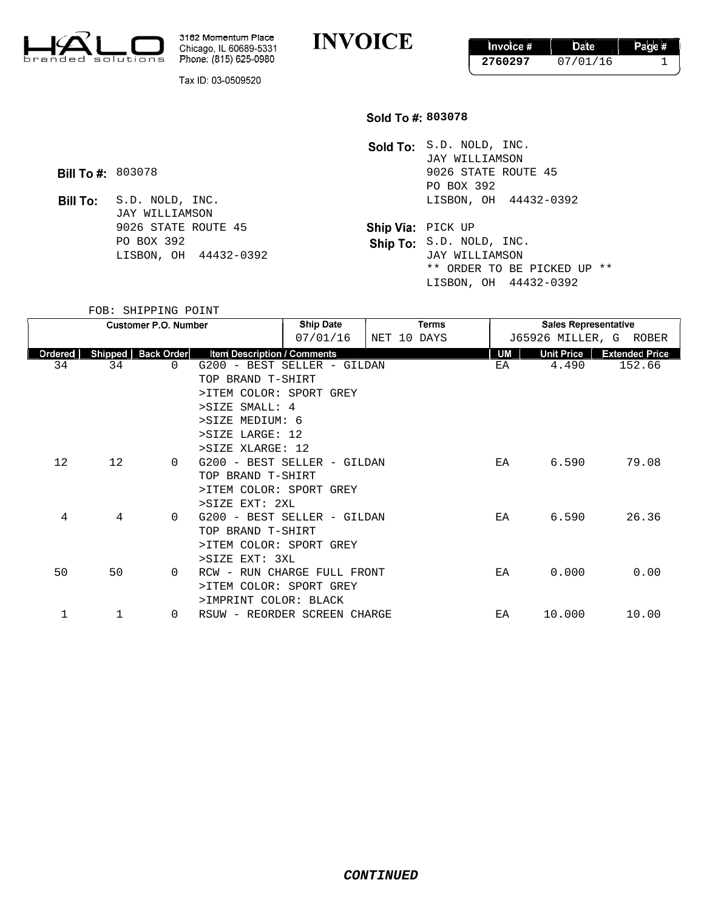

3182 Momentum Place Chicago, IL 60689-5331 Phone: (815) 625-0980

**INVOICE** 

Invoice # Date Page # **2760297** 07/01/16 1

Tax ID: 03-0509520

## **803078**

Sold To: S.D. NOLD, INC. JAY WILLIAMSON **Bill To #:** 803078 **803078** 9026 STATE ROUTE 45 PO BOX 392 S.D. NOLD, INC. THE RESOLUTION OF A 24432-0392

\*\* ORDER TO BE PICKED UP \*\* LISBON, OH 44432-0392

**Bill To:** JAY WILLIAMSON 9026 STATE ROUTE 45 **Ship Via:** PICK UP PO BOX 392 Ship To: S.D. NOLD, INC. LISBON, OH 44432-0392 JAY WILLIAMSON

FOB: SHIPPING POINT

| <b>Customer P.O. Number</b> |         |                   | <b>Ship Date</b>                   |                         | Terms       | <b>Sales Representative</b> |    |                        |                       |
|-----------------------------|---------|-------------------|------------------------------------|-------------------------|-------------|-----------------------------|----|------------------------|-----------------------|
|                             |         |                   |                                    | 07/01/16                | NET 10 DAYS |                             |    | J65926 MILLER, G ROBER |                       |
| Ordered                     | Shipped | <b>Back Order</b> | <b>Item Description / Comments</b> |                         |             |                             | UM | <b>Unit Price</b>      | <b>Extended Price</b> |
| 34                          | 34      | $\Omega$          | G200 - BEST SELLER - GILDAN        |                         |             |                             | ΕA | 4.490                  | 152.66                |
|                             |         |                   | TOP BRAND T-SHIRT                  |                         |             |                             |    |                        |                       |
|                             |         |                   | >ITEM COLOR: SPORT GREY            |                         |             |                             |    |                        |                       |
|                             |         |                   | >SIZE SMALL: 4                     |                         |             |                             |    |                        |                       |
|                             |         |                   | >SIZE MEDIUM: 6                    |                         |             |                             |    |                        |                       |
|                             |         |                   | >SIZE LARGE: 12                    |                         |             |                             |    |                        |                       |
|                             |         |                   | >SIZE XLARGE: 12                   |                         |             |                             |    |                        |                       |
| 12                          | 12      | $\Omega$          | G200 - BEST SELLER - GILDAN        |                         |             |                             | ЕA | 6.590                  | 79.08                 |
|                             |         |                   | TOP BRAND T-SHIRT                  |                         |             |                             |    |                        |                       |
|                             |         |                   |                                    | >ITEM COLOR: SPORT GREY |             |                             |    |                        |                       |
|                             |         | >SIZE EXT: 2XL    |                                    |                         |             |                             |    |                        |                       |
| 4                           | 4       | 0                 | G200 - BEST SELLER - GILDAN        |                         |             |                             | EA | 6.590                  | 26.36                 |
|                             |         |                   | TOP BRAND T-SHIRT                  |                         |             |                             |    |                        |                       |
|                             |         |                   | >ITEM COLOR: SPORT GREY            |                         |             |                             |    |                        |                       |
|                             |         |                   | >SIZE EXT: 3XL                     |                         |             |                             |    |                        |                       |
| 50                          | 50      | $\Omega$          | RCW - RUN CHARGE FULL FRONT        |                         |             |                             | ЕA | 0.000                  | 0.00                  |
|                             |         |                   | >ITEM COLOR: SPORT GREY            |                         |             |                             |    |                        |                       |
|                             |         |                   | >IMPRINT COLOR: BLACK              |                         |             |                             |    |                        |                       |
| 1                           | 1       | $\Omega$          | RSUW - REORDER SCREEN CHARGE       |                         |             |                             | ΕA | 10.000                 | 10.00                 |